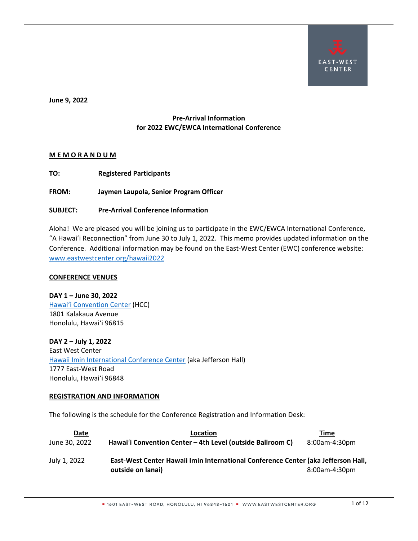

**June 9, 2022**

# **Pre-Arrival Information for 2022 EWC/EWCA International Conference**

# **M E M O R A N D U M**

**TO: Registered Participants**

**FROM: Jaymen Laupola, Senior Program Officer**

# **SUBJECT: Pre-Arrival Conference Information**

Aloha! We are pleased you will be joining us to participate in the EWC/EWCA International Conference, "A Hawai'i Reconnection" from June 30 to July 1, 2022. This memo provides updated information on the Conference. Additional information may be found on the East-West Center (EWC) conference website: [www.eastwestcenter.org/hawaii2022](http://www.eastwestcenter.org/hawaii2022)

# **CONFERENCE VENUES**

**DAY 1 – June 30, 2022** [Hawai'i Convention Center](https://www.meethawaii.com/convention-center/) (HCC) 1801 Kalakaua Avenue Honolulu, Hawai'i 96815

**DAY 2 – July 1, 2022** East West Center [Hawaii Imin International Conference Center](https://www.eastwestcenter.org/about-ewc/campus-maps/hawaii-imin-international-conference-center-jefferson-hall) (aka Jefferson Hall) 1777 East-West Road Honolulu, Hawai'i 96848

# **REGISTRATION AND INFORMATION**

The following is the schedule for the Conference Registration and Information Desk:

| Date          | Location                                                                                               | Time          |
|---------------|--------------------------------------------------------------------------------------------------------|---------------|
| June 30, 2022 | Hawai'i Convention Center - 4th Level (outside Ballroom C)                                             | 8:00am-4:30pm |
| July 1, 2022  | East-West Center Hawaii Imin International Conference Center (aka Jefferson Hall,<br>outside on lanai) | 8:00am-4:30pm |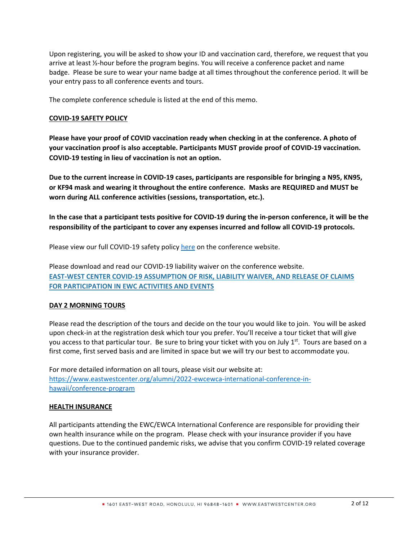Upon registering, you will be asked to show your ID and vaccination card, therefore, we request that you arrive at least ½-hour before the program begins. You will receive a conference packet and name badge. Please be sure to wear your name badge at all times throughout the conference period. It will be your entry pass to all conference events and tours.

The complete conference schedule is listed at the end of this memo.

# **COVID-19 SAFETY POLICY**

**Please have your proof of COVID vaccination ready when checking in at the conference. A photo of your vaccination proof is also acceptable. Participants MUST provide proof of COVID-19 vaccination. COVID-19 testing in lieu of vaccination is not an option.**

**Due to the current increase in COVID-19 cases, participants are responsible for bringing a N95, KN95, or KF94 mask and wearing it throughout the entire conference. Masks are REQUIRED and MUST be worn during ALL conference activities (sessions, transportation, etc.).** 

**In the case that a participant tests positive for COVID-19 during the in-person conference, it will be the responsibility of the participant to cover any expenses incurred and follow all COVID-19 protocols.** 

Please view our full COVID-19 safety policy [here](https://www.eastwestcenter.org/alumni/2022-ewcewca-international-conference-in-hawaii/covid-19-safety-policy) on the conference website.

Please download and read our COVID-19 liability waiver on the conference website. **[EAST-WEST CENTER COVID-19 ASSUMPTION OF RISK, LIABILITY WAIVER, AND RELEASE OF](https://www.eastwestcenter.org/sites/default/files/filemanager/alumni/Conference%202022/EWC%20COVID-19%20Waiver.pdf) CLAIMS [FOR PARTICIPATION IN EWC ACTIVITIES AND EVENTS](https://www.eastwestcenter.org/sites/default/files/filemanager/alumni/Conference%202022/EWC%20COVID-19%20Waiver.pdf)**

# **DAY 2 MORNING TOURS**

Please read the description of the tours and decide on the tour you would like to join. You will be asked upon check-in at the registration desk which tour you prefer. You'll receive a tour ticket that will give you access to that particular tour. Be sure to bring your ticket with you on July  $1<sup>st</sup>$ . Tours are based on a first come, first served basis and are limited in space but we will try our best to accommodate you.

For more detailed information on all tours, please visit our website at: [https://www.eastwestcenter.org/alumni/2022-ewcewca-international-conference-in](https://www.eastwestcenter.org/alumni/2022-ewcewca-international-conference-in-hawaii/conference-program)[hawaii/conference-program](https://www.eastwestcenter.org/alumni/2022-ewcewca-international-conference-in-hawaii/conference-program)

# **HEALTH INSURANCE**

All participants attending the EWC/EWCA International Conference are responsible for providing their own health insurance while on the program. Please check with your insurance provider if you have questions. Due to the continued pandemic risks, we advise that you confirm COVID-19 related coverage with your insurance provider.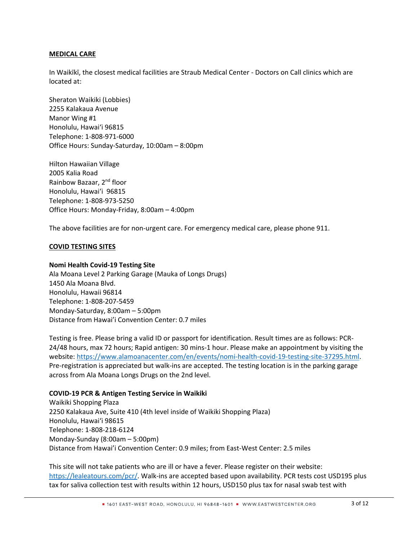# **MEDICAL CARE**

In Waikīkī, the closest medical facilities are Straub Medical Center - Doctors on Call clinics which are located at:

Sheraton Waikiki (Lobbies) 2255 Kalakaua Avenue Manor Wing #1 Honolulu, Hawai'i 96815 Telephone: 1-808-971-6000 Office Hours: Sunday-Saturday, 10:00am – 8:00pm

Hilton Hawaiian Village 2005 Kalia Road Rainbow Bazaar, 2nd floor Honolulu, Hawai'i 96815 Telephone: 1-808-973-5250 Office Hours: Monday-Friday, 8:00am – 4:00pm

The above facilities are for non-urgent care. For emergency medical care, please phone 911.

#### **COVID TESTING SITES**

#### **Nomi Health Covid-19 Testing Site**

Ala Moana Level 2 Parking Garage (Mauka of Longs Drugs) 1450 Ala Moana Blvd. Honolulu, Hawaii 96814 Telephone: 1-808-207-5459 Monday-Saturday, 8:00am – 5:00pm Distance from Hawai'i Convention Center: 0.7 miles

Testing is free. Please bring a valid ID or passport for identification. Result times are as follows: PCR-24/48 hours, max 72 hours; Rapid antigen: 30 mins-1 hour. Please make an appointment by visiting the website: [https://www.alamoanacenter.com/en/events/nomi-health-covid-19-testing-site-37295.html.](https://www.alamoanacenter.com/en/events/nomi-health-covid-19-testing-site-37295.html) Pre-registration is appreciated but walk-ins are accepted. The testing location is in the parking garage across from Ala Moana Longs Drugs on the 2nd level.

#### **COVID-19 PCR & Antigen Testing Service in Waikiki**

Waikiki Shopping Plaza 2250 Kalakaua Ave, Suite 410 (4th level inside of Waikiki Shopping Plaza) Honolulu, Hawai'i 98615 Telephone: 1-808-218-6124 Monday-Sunday (8:00am – 5:00pm) Distance from Hawai'i Convention Center: 0.9 miles; from East-West Center: 2.5 miles

This site will not take patients who are ill or have a fever. Please register on their website: [https://lealeatours.com/pcr/.](https://lealeatours.com/pcr/) Walk-ins are accepted based upon availability. PCR tests cost USD195 plus tax for saliva collection test with results within 12 hours, USD150 plus tax for nasal swab test with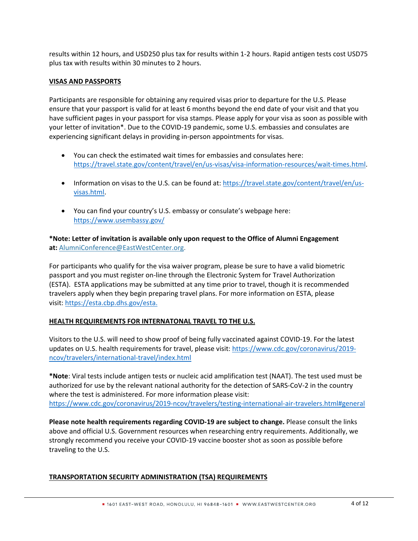results within 12 hours, and USD250 plus tax for results within 1-2 hours. Rapid antigen tests cost USD75 plus tax with results within 30 minutes to 2 hours.

# **VISAS AND PASSPORTS**

Participants are responsible for obtaining any required visas prior to departure for the U.S. Please ensure that your passport is valid for at least 6 months beyond the end date of your visit and that you have sufficient pages in your passport for visa stamps. Please apply for your visa as soon as possible with your letter of invitation\*. Due to the COVID-19 pandemic, some U.S. embassies and consulates are experiencing significant delays in providing in-person appointments for visas.

- You can check the estimated wait times for embassies and consulates here: [https://travel.state.gov/content/travel/en/us-visas/visa-information-resources/wait-times.html.](https://travel.state.gov/content/travel/en/us-visas/visa-information-resources/wait-times.html)
- Information on visas to the U.S. can be found at: [https://travel.state.gov/content/travel/en/us](https://travel.state.gov/content/travel/en/us-visas.html)[visas.html.](https://travel.state.gov/content/travel/en/us-visas.html)
- You can find your country's U.S. embassy or consulate's webpage here: <https://www.usembassy.gov/>

# **\*Note: Letter of invitation is available only upon request to the Office of Alumni Engagement at:** [AlumniConference@EastWestCenter.org.](mailto:AlumniConference@EastWestCenter.org)

For participants who qualify for the visa waiver program, please be sure to have a valid biometric passport and you must register on-line through the Electronic System for Travel Authorization (ESTA). ESTA applications may be submitted at any time prior to travel, though it is recommended travelers apply when they begin preparing travel plans. For more information on ESTA, please visit: [https://esta.cbp.dhs.gov/esta.](https://esta.cbp.dhs.gov/esta)

# **HEALTH REQUIREMENTS FOR INTERNATONAL TRAVEL TO THE U.S.**

Visitors to the U.S. will need to show proof of being fully vaccinated against COVID-19. For the latest updates on U.S. health requirements for travel, please visit: [https://www.cdc.gov/coronavirus/2019](https://www.cdc.gov/coronavirus/2019-ncov/travelers/international-travel/index.html) [ncov/travelers/international-travel/index.html](https://www.cdc.gov/coronavirus/2019-ncov/travelers/international-travel/index.html)

**\*Note**: Viral tests include antigen tests or nucleic acid amplification test (NAAT). The test used must be authorized for use by the relevant national authority for the detection of SARS-CoV-2 in the country where the test is administered. For more information please visit: [https://www.cdc.gov/coronavirus/2019-ncov/travelers/testing-international-air-](https://www.cdc.gov/coronavirus/2019-ncov/travelers/testing-international-air-travelers.html)travelers.html#general

**Please note health requirements regarding COVID-19 are subject to change.** Please consult the links above and official U.S. Government resources when researching entry requirements. Additionally, we strongly recommend you receive your COVID-19 vaccine booster shot as soon as possible before traveling to the U.S.

# **TRANSPORTATION SECURITY ADMINISTRATION (TSA) REQUIREMENTS**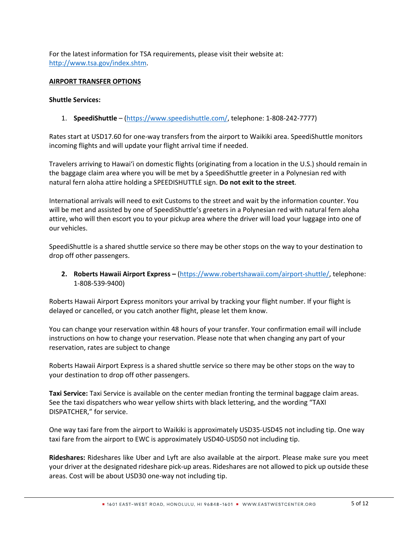For the latest information for TSA requirements, please visit their website at: [http://www.tsa.gov/index.shtm.](http://www.tsa.gov/index.shtm)

# **AIRPORT TRANSFER OPTIONS**

# **Shuttle Services:**

1. **SpeediShuttle** – [\(https://www.speedishuttle.com/,](https://www.speedishuttle.com/) telephone: 1-808-242-7777)

Rates start at USD17.60 for one-way transfers from the airport to Waikiki area. SpeediShuttle monitors incoming flights and will update your flight arrival time if needed.

Travelers arriving to Hawaiʻi on domestic flights (originating from a location in the U.S.) should remain in the baggage claim area where you will be met by a SpeediShuttle greeter in a Polynesian red with natural fern aloha attire holding a SPEEDISHUTTLE sign. **Do not exit to the street**.

International arrivals will need to exit Customs to the street and wait by the information counter. You will be met and assisted by one of SpeediShuttle's greeters in a Polynesian red with natural fern aloha attire, who will then escort you to your pickup area where the driver will load your luggage into one of our vehicles.

SpeediShuttle is a shared shuttle service so there may be other stops on the way to your destination to drop off other passengers.

**2. Roberts Hawaii Airport Express –** [\(https://www.robertshawaii.com/airport-shuttle/,](https://www.robertshawaii.com/airport-shuttle/) telephone: 1-808-539-9400)

Roberts Hawaii Airport Express monitors your arrival by tracking your flight number. If your flight is delayed or cancelled, or you catch another flight, please let them know.

You can change your reservation within 48 hours of your transfer. Your confirmation email will include instructions on how to change your reservation. Please note that when changing any part of your reservation, rates are subject to change

Roberts Hawaii Airport Express is a shared shuttle service so there may be other stops on the way to your destination to drop off other passengers.

**Taxi Service:** Taxi Service is available on the center median fronting the terminal baggage claim areas. See the taxi dispatchers who wear yellow shirts with black lettering, and the wording "TAXI DISPATCHER," for service.

One way taxi fare from the airport to Waikiki is approximately USD35-USD45 not including tip. One way taxi fare from the airport to EWC is approximately USD40-USD50 not including tip.

**Rideshares:** Rideshares like Uber and Lyft are also available at the airport. Please make sure you meet your driver at the designated rideshare pick-up areas. Rideshares are not allowed to pick up outside these areas. Cost will be about USD30 one-way not including tip.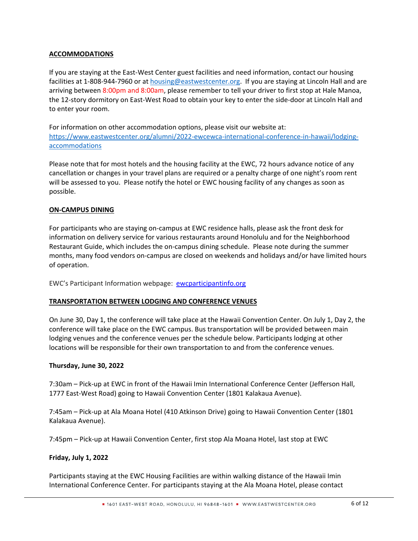# **ACCOMMODATIONS**

If you are staying at the East-West Center guest facilities and need information, contact our housing facilities at 1-808-944-7960 or at [housing@eastwestcenter.org](mailto:housing@eastwestcenter.org). If you are staying at Lincoln Hall and are arriving between 8:00pm and 8:00am, please remember to tell your driver to first stop at Hale Manoa, the 12-story dormitory on East-West Road to obtain your key to enter the side-door at Lincoln Hall and to enter your room.

For information on other accommodation options, please visit our website at: [https://www.eastwestcenter.org/alumni/2022-ewcewca-international-conference-in-hawaii/lodging](https://www.eastwestcenter.org/alumni/2022-ewcewca-international-conference-in-hawaii/lodging-accommodations)[accommodations](https://www.eastwestcenter.org/alumni/2022-ewcewca-international-conference-in-hawaii/lodging-accommodations)

Please note that for most hotels and the housing facility at the EWC, 72 hours advance notice of any cancellation or changes in your travel plans are required or a penalty charge of one night's room rent will be assessed to you. Please notify the hotel or EWC housing facility of any changes as soon as possible.

# **ON-CAMPUS DINING**

For participants who are staying on-campus at EWC residence halls, please ask the front desk for information on delivery service for various restaurants around Honolulu and for the Neighborhood Restaurant Guide, which includes the on-campus dining schedule. Please note during the summer months, many food vendors on-campus are closed on weekends and holidays and/or have limited hours of operation.

EWC's Participant Information webpage: [ewcparticipantinfo.org](https://ewcparticipantinfo.org/)

# **TRANSPORTATION BETWEEN LODGING AND CONFERENCE VENUES**

On June 30, Day 1, the conference will take place at the Hawaii Convention Center. On July 1, Day 2, the conference will take place on the EWC campus. Bus transportation will be provided between main lodging venues and the conference venues per the schedule below. Participants lodging at other locations will be responsible for their own transportation to and from the conference venues.

# **Thursday, June 30, 2022**

7:30am – Pick-up at EWC in front of the Hawaii Imin International Conference Center (Jefferson Hall, 1777 East-West Road) going to Hawaii Convention Center (1801 Kalakaua Avenue).

7:45am – Pick-up at Ala Moana Hotel (410 Atkinson Drive) going to Hawaii Convention Center (1801 Kalakaua Avenue).

7:45pm – Pick-up at Hawaii Convention Center, first stop Ala Moana Hotel, last stop at EWC

# **Friday, July 1, 2022**

Participants staying at the EWC Housing Facilities are within walking distance of the Hawaii Imin International Conference Center. For participants staying at the Ala Moana Hotel, please contact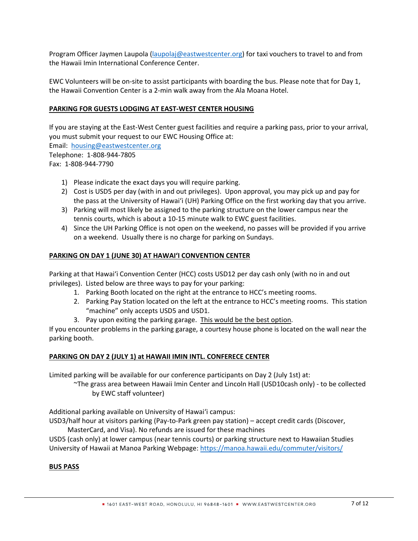Program Officer Jaymen Laupola ([laupolaj@eastwestcenter.org\)](mailto:laupolaj@eastwestcenter.org) for taxi vouchers to travel to and from the Hawaii Imin International Conference Center.

EWC Volunteers will be on-site to assist participants with boarding the bus. Please note that for Day 1, the Hawaii Convention Center is a 2-min walk away from the Ala Moana Hotel.

# **PARKING FOR GUESTS LODGING AT EAST-WEST CENTER HOUSING**

If you are staying at the East-West Center guest facilities and require a parking pass, prior to your arrival, you must submit your request to our EWC Housing Office at:

Email: [housing@eastwestcenter.org](mailto:housing@eastwestcenter.org) Telephone: 1-808-944-7805

Fax: 1-808-944-7790

- 1) Please indicate the exact days you will require parking.
- 2) Cost is USD5 per day (with in and out privileges). Upon approval, you may pick up and pay for the pass at the University of Hawai'i (UH) Parking Office on the first working day that you arrive.
- 3) Parking will most likely be assigned to the parking structure on the lower campus near the tennis courts, which is about a 10-15 minute walk to EWC guest facilities.
- 4) Since the UH Parking Office is not open on the weekend, no passes will be provided if you arrive on a weekend. Usually there is no charge for parking on Sundays.

# **PARKING ON DAY 1 (JUNE 30) AT HAWAI'I CONVENTION CENTER**

Parking at that Hawai'i Convention Center (HCC) costs USD12 per day cash only (with no in and out privileges). Listed below are three ways to pay for your parking:

- 1. Parking Booth located on the right at the entrance to HCC's meeting rooms.
- 2. Parking Pay Station located on the left at the entrance to HCC's meeting rooms. This station "machine" only accepts USD5 and USD1.
- 3. Pay upon exiting the parking garage. This would be the best option.

If you encounter problems in the parking garage, a courtesy house phone is located on the wall near the parking booth.

# **PARKING ON DAY 2 (JULY 1) at HAWAII IMIN INTL. CONFERECE CENTER**

Limited parking will be available for our conference participants on Day 2 (July 1st) at:

~The grass area between Hawaii Imin Center and Lincoln Hall (USD10cash only) - to be collected by EWC staff volunteer)

Additional parking available on University of Hawai'i campus:

USD3/half hour at visitors parking (Pay-to-Park green pay station) – accept credit cards (Discover,

MasterCard, and Visa). No refunds are issued for these machines

USD5 (cash only) at lower campus (near tennis courts) or parking structure next to Hawaiian Studies University of Hawaii at Manoa Parking Webpage: <https://manoa.hawaii.edu/commuter/visitors/>

# **BUS PASS**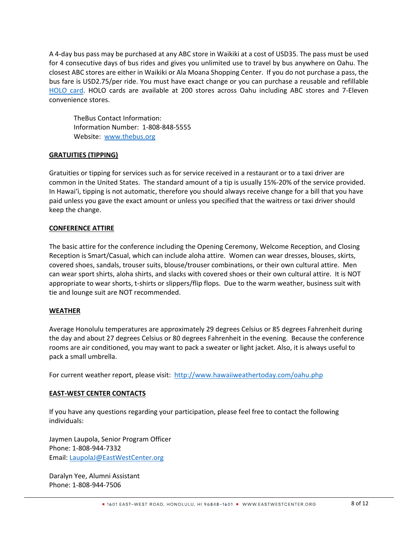A 4-day bus pass may be purchased at any ABC store in Waikiki at a cost of USD35. The pass must be used for 4 consecutive days of bus rides and gives you unlimited use to travel by bus anywhere on Oahu. The closest ABC stores are either in Waikiki or Ala Moana Shopping Center. If you do not purchase a pass, the bus fare is USD2.75/per ride. You must have exact change or you can purchase a reusable and refillable [HOLO card.](https://www.holocard.net/for-visitors/) HOLO cards are available at 200 stores across Oahu including ABC stores and 7-Eleven convenience stores.

TheBus Contact Information: Information Number: 1-808-848-5555 Website: [www.thebus.org](http://www.thebus.org/)

# **GRATUITIES (TIPPING)**

Gratuities or tipping for services such as for service received in a restaurant or to a taxi driver are common in the United States. The standard amount of a tip is usually 15%-20% of the service provided. In Hawai'i, tipping is not automatic, therefore you should always receive change for a bill that you have paid unless you gave the exact amount or unless you specified that the waitress or taxi driver should keep the change.

# **CONFERENCE ATTIRE**

The basic attire for the conference including the Opening Ceremony, Welcome Reception, and Closing Reception is Smart/Casual, which can include aloha attire. Women can wear dresses, blouses, skirts, covered shoes, sandals, trouser suits, blouse/trouser combinations, or their own cultural attire. Men can wear sport shirts, aloha shirts, and slacks with covered shoes or their own cultural attire. It is NOT appropriate to wear shorts, t-shirts or slippers/flip flops. Due to the warm weather, business suit with tie and lounge suit are NOT recommended.

# **WEATHER**

Average Honolulu temperatures are approximately 29 degrees Celsius or 85 degrees Fahrenheit during the day and about 27 degrees Celsius or 80 degrees Fahrenheit in the evening. Because the conference rooms are air conditioned, you may want to pack a sweater or light jacket. Also, it is always useful to pack a small umbrella.

For current weather report, please visit: <http://www.hawaiiweathertoday.com/oahu.php>

# **EAST-WEST CENTER CONTACTS**

If you have any questions regarding your participation, please feel free to contact the following individuals:

Jaymen Laupola, Senior Program Officer Phone: 1-808-944-7332 Email: [LaupolaJ@EastWestCenter.org](mailto:LaupolaJ@EastWestCenter.org)

Daralyn Yee, Alumni Assistant Phone: 1-808-944-7506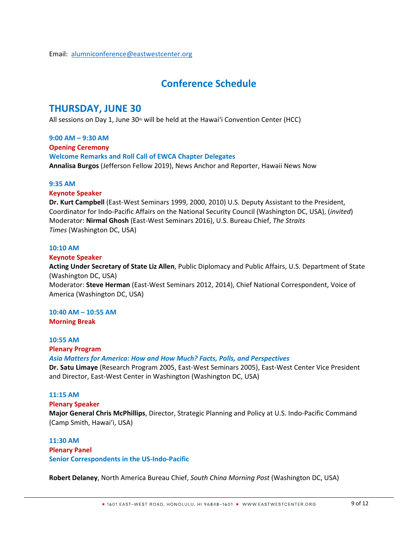# **Conference Schedule**

# **THURSDAY, JUNE 30**

All sessions on Day 1, June  $30<sup>th</sup>$  will be held at the Hawai'i Convention Center (HCC)

**9:00 AM – 9:30 AM Opening Ceremony Welcome Remarks and Roll Call of EWCA Chapter Delegates Annalisa Burgos** (Jefferson Fellow 2019), News Anchor and Reporter, Hawaii News Now

# **9:35 AM**

# **Keynote Speaker**

**Dr. Kurt Campbell** (East-West Seminars 1999, 2000, 2010) U.S. Deputy Assistant to the President, Coordinator for Indo-Pacific Affairs on the National Security Council (Washington DC, USA), (*invited*) Moderator: **Nirmal Ghosh** (East-West Seminars 2016), U.S. Bureau Chief, *The Straits Times* (Washington DC, USA) 

# **10:10 AM**

# **Keynote Speaker**

**Acting Under Secretary of State Liz Allen**, Public Diplomacy and Public Affairs, U.S. Department of State (Washington DC, USA)

Moderator: **Steve Herman** (East-West Seminars 2012, 2014), Chief National Correspondent, Voice of America (Washington DC, USA)

#### **10:40 AM – 10:55 AM Morning Break**

# **10:55 AM**

# **Plenary Program**

# *[Asia Matters for America:](https://asiamattersforamerica.org/) How and How Much? Facts, Polls, and Perspectives*

**[Dr. Satu Limaye](https://www.eastwestcenter.org/alumni/2022-ewcewca-international-conference-in-hawaii/speakers)** (Research Program 2005, East-West Seminars 2005), East-West Center Vice President and Director, East-West Center in Washington (Washington DC, USA) 

# **11:15 AM**

# **Plenary Speaker**

**Major General Chris McPhillips**, Director, Strategic Planning and Policy at U.S. Indo-Pacific Command (Camp Smith, Hawaiʻi, USA) 

# **11:30 AM**

# **Plenary Panel Senior Correspondents in the US-Indo-Pacific**

**Robert Delaney**, North America Bureau Chief, *South China Morning Post* (Washington DC, USA)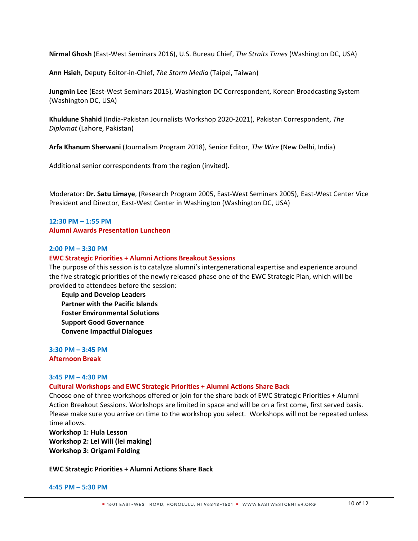**Nirmal Ghosh** (East-West Seminars 2016), U.S. Bureau Chief, *The Straits Times* (Washington DC, USA)

**Ann Hsieh**, Deputy Editor-in-Chief, *The Storm Media* (Taipei, Taiwan)

**Jungmin Lee** (East-West Seminars 2015), Washington DC Correspondent, Korean Broadcasting System (Washington DC, USA)

**Khuldune Shahid** (India-Pakistan Journalists Workshop 2020-2021), Pakistan Correspondent, *The Diplomat* (Lahore, Pakistan)

**Arfa Khanum Sherwani** (Journalism Program 2018), Senior Editor, *The Wire* (New Delhi, India)

Additional senior correspondents from the region (invited)*.*

Moderator: **Dr. Satu Limaye**, (Research Program 2005, East-West Seminars 2005), East-West Center Vice President and Director, East-West Center in Washington (Washington DC, USA) 

#### **12:30 PM – 1:55 PM Alumni Awards Presentation Luncheon**

#### **2:00 PM – 3:30 PM**

#### **EWC Strategic Priorities + Alumni Actions Breakout Sessions**

The purpose of this session is to catalyze alumni's intergenerational expertise and experience around the five strategic priorities of the newly released phase one of the EWC Strategic Plan, which will be provided to attendees before the session:

**Equip and Develop Leaders Partner with the Pacific Islands Foster Environmental Solutions Support Good Governance Convene Impactful Dialogues**

**3:30 PM – 3:45 PM Afternoon Break**

#### **3:45 PM – 4:30 PM**

#### **Cultural Workshops and EWC Strategic Priorities + Alumni Actions Share Back**

Choose one of three workshops offered or join for the share back of EWC Strategic Priorities + Alumni Action Breakout Sessions. Workshops are limited in space and will be on a first come, first served basis. Please make sure you arrive on time to the workshop you select. Workshops will not be repeated unless time allows.

**Workshop 1: Hula Lesson Workshop 2: Lei Wili (lei making) Workshop 3: Origami Folding**

#### **EWC Strategic Priorities + Alumni Actions Share Back**

#### **4:45 PM – 5:30 PM**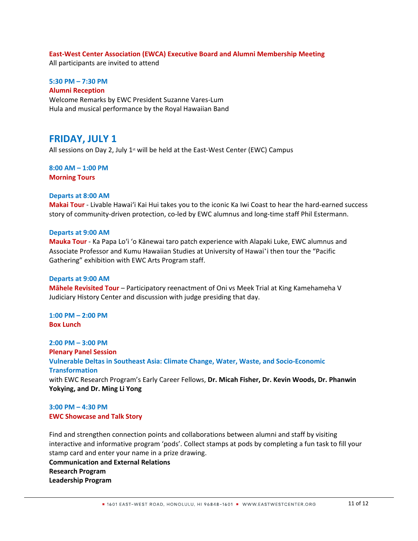#### **East-West Center Association (EWCA) Executive Board and Alumni Membership Meeting**

All participants are invited to attend

# **5:30 PM – 7:30 PM**

**Alumni Reception**

Welcome Remarks by EWC President Suzanne Vares-Lum Hula and musical performance by the Royal Hawaiian Band

# **FRIDAY, JULY 1**

All sessions on Day 2, July  $1<sup>st</sup>$  will be held at the East-West Center (EWC) Campus

# **8:00 AM – 1:00 PM Morning Tours**

# **Departs at 8:00 AM**

**Makai Tour** - Livable Hawaiʻi Kai Hui takes you to the iconic Ka Iwi Coast to hear the hard-earned success story of community-driven protection, co-led by EWC alumnus and long-time staff Phil Estermann.

#### **Departs at 9:00 AM**

**Mauka Tour** - Ka Papa Loʻi ʻo Kānewai taro patch experience with Alapaki Luke, EWC alumnus and Associate Professor and Kumu Hawaiian Studies at University of Hawaiʻi then tour the "Pacific Gathering" exhibition with EWC Arts Program staff.

#### **Departs at 9:00 AM**

**Mähele Revisited Tour** – Participatory reenactment of Oni vs Meek Trial at King Kamehameha V Judiciary History Center and discussion with judge presiding that day.

**1:00 PM – 2:00 PM Box Lunch**

**2:00 PM – 3:00 PM Plenary Panel Session Vulnerable Deltas in Southeast Asia: Climate Change, Water, Waste, and Socio-Economic Transformation** with EWC Research Program's Early Career Fellows, **Dr. Micah Fisher, Dr. Kevin Woods, Dr. Phanwin Yokying, and Dr. Ming Li Yong**

# **3:00 PM – 4:30 PM EWC Showcase and Talk Story**

Find and strengthen connection points and collaborations between alumni and staff by visiting interactive and informative program 'pods'. Collect stamps at pods by completing a fun task to fill your stamp card and enter your name in a prize drawing.

**Communication and External Relations Research Program Leadership Program**